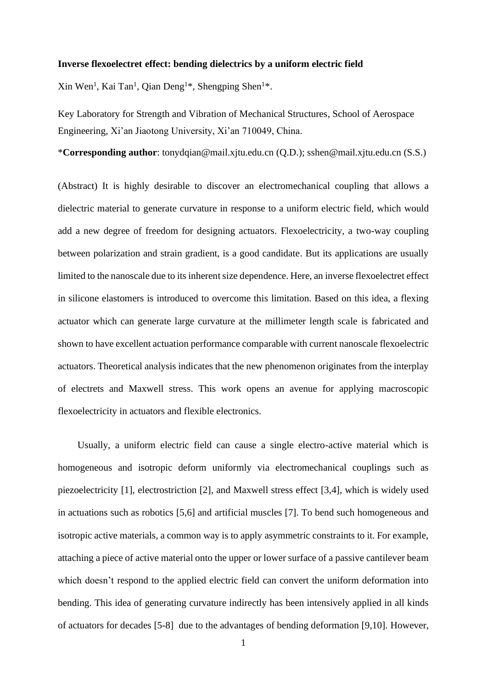#### **Inverse flexoelectret effect: bending dielectrics by a uniform electric field**

Xin Wen<sup>1</sup>, Kai Tan<sup>1</sup>, Qian Deng<sup>1\*</sup>, Shengping Shen<sup>1\*</sup>.

Key Laboratory for Strength and Vibration of Mechanical Structures, School of Aerospace Engineering, Xi'an Jiaotong University, Xi'an 710049, China.

\***Corresponding author**: tonydqian@mail.xjtu.edu.cn (Q.D.); sshen@mail.xjtu.edu.cn (S.S.)

(Abstract) It is highly desirable to discover an electromechanical coupling that allows a dielectric material to generate curvature in response to a uniform electric field, which would add a new degree of freedom for designing actuators. Flexoelectricity, a two-way coupling between polarization and strain gradient, is a good candidate. But its applications are usually limited to the nanoscale due to its inherent size dependence. Here, an inverse flexoelectret effect in silicone elastomers is introduced to overcome this limitation. Based on this idea, a flexing actuator which can generate large curvature at the millimeter length scale is fabricated and shown to have excellent actuation performance comparable with current nanoscale flexoelectric actuators. Theoretical analysis indicates that the new phenomenon originates from the interplay of electrets and Maxwell stress. This work opens an avenue for applying macroscopic flexoelectricity in actuators and flexible electronics.

Usually, a uniform electric field can cause a single electro-active material which is homogeneous and isotropic deform uniformly via electromechanical couplings such as piezoelectricity [1], electrostriction [2], and Maxwell stress effect [3,4], which is widely used in actuations such as robotics [5,6] and artificial muscles [7]. To bend such homogeneous and isotropic active materials, a common way is to apply asymmetric constraints to it. For example, attaching a piece of active material onto the upper or lower surface of a passive cantilever beam which doesn't respond to the applied electric field can convert the uniform deformation into bending. This idea of generating curvature indirectly has been intensively applied in all kinds of actuators for decades [5-8] due to the advantages of bending deformation [9,10]. However,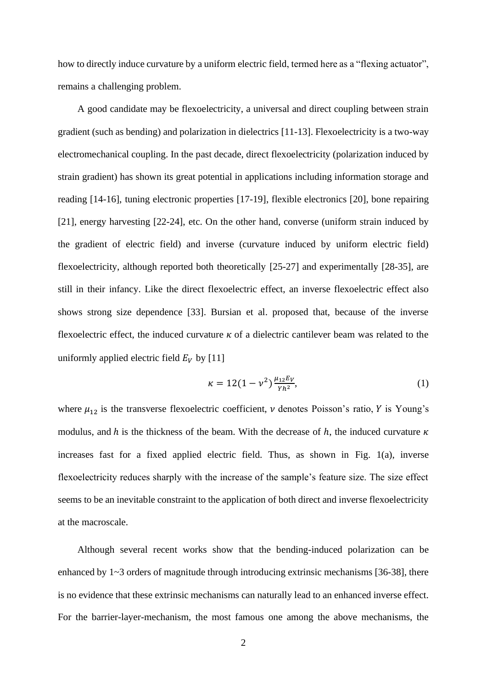how to directly induce curvature by a uniform electric field, termed here as a "flexing actuator", remains a challenging problem.

A good candidate may be flexoelectricity, a universal and direct coupling between strain gradient (such as bending) and polarization in dielectrics [11-13]. Flexoelectricity is a two-way electromechanical coupling. In the past decade, direct flexoelectricity (polarization induced by strain gradient) has shown its great potential in applications including information storage and reading [14-16], tuning electronic properties [17-19], flexible electronics [20], bone repairing [21], energy harvesting [22-24], etc. On the other hand, converse (uniform strain induced by the gradient of electric field) and inverse (curvature induced by uniform electric field) flexoelectricity, although reported both theoretically [25-27] and experimentally [28-35], are still in their infancy. Like the direct flexoelectric effect, an inverse flexoelectric effect also shows strong size dependence [33]. Bursian et al. proposed that, because of the inverse flexoelectric effect, the induced curvature  $\kappa$  of a dielectric cantilever beam was related to the uniformly applied electric field  $E_V$  by [11]

$$
\kappa = 12(1 - \nu^2) \frac{\mu_{12} E_V}{\gamma h^2},\tag{1}
$$

where  $\mu_{12}$  is the transverse flexoelectric coefficient, v denotes Poisson's ratio, Y is Young's modulus, and  $h$  is the thickness of the beam. With the decrease of  $h$ , the induced curvature  $\kappa$ increases fast for a fixed applied electric field. Thus, as shown in Fig. 1(a), inverse flexoelectricity reduces sharply with the increase of the sample's feature size. The size effect seems to be an inevitable constraint to the application of both direct and inverse flexoelectricity at the macroscale.

Although several recent works show that the bending-induced polarization can be enhanced by 1~3 orders of magnitude through introducing extrinsic mechanisms [36-38], there is no evidence that these extrinsic mechanisms can naturally lead to an enhanced inverse effect. For the barrier-layer-mechanism, the most famous one among the above mechanisms, the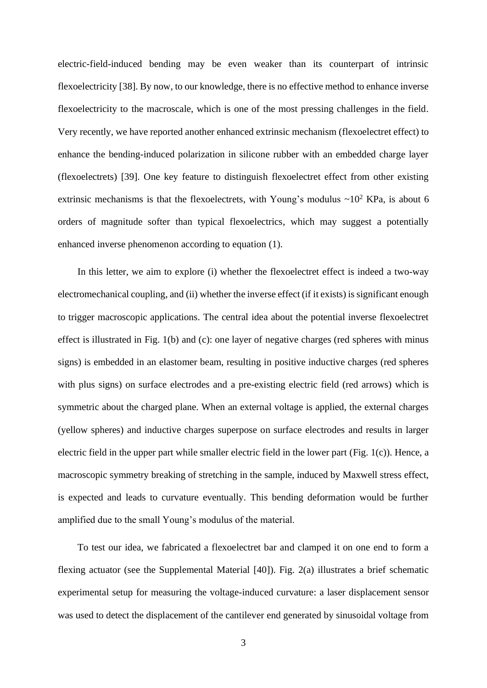electric-field-induced bending may be even weaker than its counterpart of intrinsic flexoelectricity [38]. By now, to our knowledge, there is no effective method to enhance inverse flexoelectricity to the macroscale, which is one of the most pressing challenges in the field. Very recently, we have reported another enhanced extrinsic mechanism (flexoelectret effect) to enhance the bending-induced polarization in silicone rubber with an embedded charge layer (flexoelectrets) [39]. One key feature to distinguish flexoelectret effect from other existing extrinsic mechanisms is that the flexoelectrets, with Young's modulus  $\sim 10^2$  KPa, is about 6 orders of magnitude softer than typical flexoelectrics, which may suggest a potentially enhanced inverse phenomenon according to equation (1).

In this letter, we aim to explore (i) whether the flexoelectret effect is indeed a two-way electromechanical coupling, and (ii) whether the inverse effect (if it exists) is significant enough to trigger macroscopic applications. The central idea about the potential inverse flexoelectret effect is illustrated in Fig. 1(b) and (c): one layer of negative charges (red spheres with minus signs) is embedded in an elastomer beam, resulting in positive inductive charges (red spheres with plus signs) on surface electrodes and a pre-existing electric field (red arrows) which is symmetric about the charged plane. When an external voltage is applied, the external charges (yellow spheres) and inductive charges superpose on surface electrodes and results in larger electric field in the upper part while smaller electric field in the lower part (Fig. 1(c)). Hence, a macroscopic symmetry breaking of stretching in the sample, induced by Maxwell stress effect, is expected and leads to curvature eventually. This bending deformation would be further amplified due to the small Young's modulus of the material.

To test our idea, we fabricated a flexoelectret bar and clamped it on one end to form a flexing actuator (see the Supplemental Material [40]). Fig. 2(a) illustrates a brief schematic experimental setup for measuring the voltage-induced curvature: a laser displacement sensor was used to detect the displacement of the cantilever end generated by sinusoidal voltage from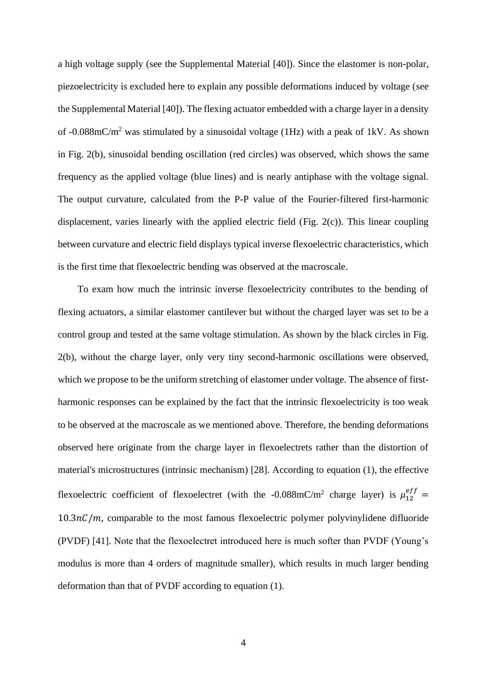a high voltage supply (see the Supplemental Material [40]). Since the elastomer is non-polar, piezoelectricity is excluded here to explain any possible deformations induced by voltage (see the Supplemental Material [40]). The flexing actuator embedded with a charge layer in a density of -0.088mC/m<sup>2</sup> was stimulated by a sinusoidal voltage (1Hz) with a peak of 1kV. As shown in Fig. 2(b), sinusoidal bending oscillation (red circles) was observed, which shows the same frequency as the applied voltage (blue lines) and is nearly antiphase with the voltage signal. The output curvature, calculated from the P-P value of the Fourier-filtered first-harmonic displacement, varies linearly with the applied electric field (Fig. 2(c)). This linear coupling between curvature and electric field displays typical inverse flexoelectric characteristics, which is the first time that flexoelectric bending was observed at the macroscale.

To exam how much the intrinsic inverse flexoelectricity contributes to the bending of flexing actuators, a similar elastomer cantilever but without the charged layer was set to be a control group and tested at the same voltage stimulation. As shown by the black circles in Fig. 2(b), without the charge layer, only very tiny second-harmonic oscillations were observed, which we propose to be the uniform stretching of elastomer under voltage. The absence of firstharmonic responses can be explained by the fact that the intrinsic flexoelectricity is too weak to be observed at the macroscale as we mentioned above. Therefore, the bending deformations observed here originate from the charge layer in flexoelectrets rather than the distortion of material's microstructures (intrinsic mechanism) [28]. According to equation (1), the effective flexoelectric coefficient of flexoelectret (with the -0.088mC/m<sup>2</sup> charge layer) is  $\mu_{12}^{eff}$  =  $10.3nC/m$ , comparable to the most famous flexoelectric polymer polyvinylidene difluoride (PVDF) [41]. Note that the flexoelectret introduced here is much softer than PVDF (Young's modulus is more than 4 orders of magnitude smaller), which results in much larger bending deformation than that of PVDF according to equation (1).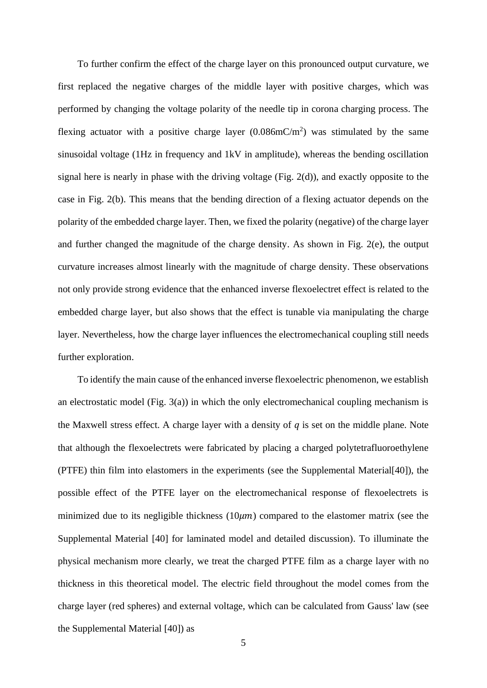To further confirm the effect of the charge layer on this pronounced output curvature, we first replaced the negative charges of the middle layer with positive charges, which was performed by changing the voltage polarity of the needle tip in corona charging process. The flexing actuator with a positive charge layer  $(0.086 \text{mC/m}^2)$  was stimulated by the same sinusoidal voltage (1Hz in frequency and 1kV in amplitude), whereas the bending oscillation signal here is nearly in phase with the driving voltage (Fig. 2(d)), and exactly opposite to the case in Fig. 2(b). This means that the bending direction of a flexing actuator depends on the polarity of the embedded charge layer. Then, we fixed the polarity (negative) of the charge layer and further changed the magnitude of the charge density. As shown in Fig. 2(e), the output curvature increases almost linearly with the magnitude of charge density. These observations not only provide strong evidence that the enhanced inverse flexoelectret effect is related to the embedded charge layer, but also shows that the effect is tunable via manipulating the charge layer. Nevertheless, how the charge layer influences the electromechanical coupling still needs further exploration.

To identify the main cause of the enhanced inverse flexoelectric phenomenon, we establish an electrostatic model (Fig.  $3(a)$ ) in which the only electromechanical coupling mechanism is the Maxwell stress effect. A charge layer with a density of  $q$  is set on the middle plane. Note that although the flexoelectrets were fabricated by placing a charged polytetrafluoroethylene (PTFE) thin film into elastomers in the experiments (see the Supplemental Material[40]), the possible effect of the PTFE layer on the electromechanical response of flexoelectrets is minimized due to its negligible thickness  $(10\mu m)$  compared to the elastomer matrix (see the Supplemental Material [40] for laminated model and detailed discussion). To illuminate the physical mechanism more clearly, we treat the charged PTFE film as a charge layer with no thickness in this theoretical model. The electric field throughout the model comes from the charge layer (red spheres) and external voltage, which can be calculated from Gauss' law (see the Supplemental Material [40]) as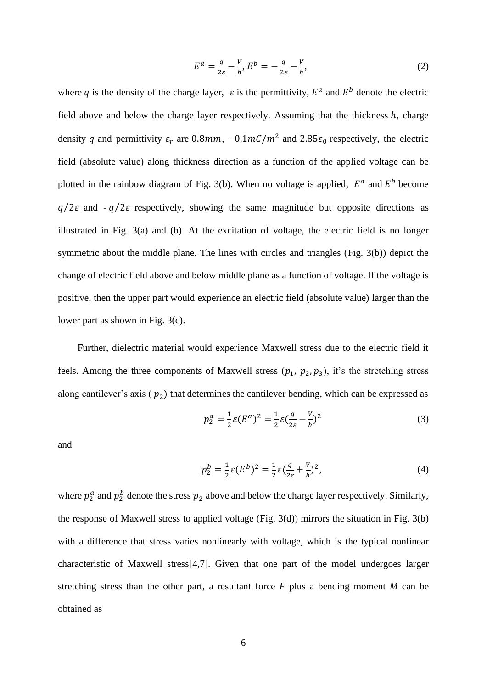$$
E^a = \frac{q}{2\varepsilon} - \frac{V}{h}, E^b = -\frac{q}{2\varepsilon} - \frac{V}{h},\tag{2}
$$

where q is the density of the charge layer,  $\varepsilon$  is the permittivity,  $E^a$  and  $E^b$  denote the electric field above and below the charge layer respectively. Assuming that the thickness  $h$ , charge density q and permittivity  $\varepsilon_r$  are 0.8mm,  $-0.1mC/m^2$  and 2.85 $\varepsilon_0$  respectively, the electric field (absolute value) along thickness direction as a function of the applied voltage can be plotted in the rainbow diagram of Fig. 3(b). When no voltage is applied,  $E^a$  and  $E^b$  become  $q/2\varepsilon$  and  $-q/2\varepsilon$  respectively, showing the same magnitude but opposite directions as illustrated in Fig. 3(a) and (b). At the excitation of voltage, the electric field is no longer symmetric about the middle plane. The lines with circles and triangles (Fig. 3(b)) depict the change of electric field above and below middle plane as a function of voltage. If the voltage is positive, then the upper part would experience an electric field (absolute value) larger than the lower part as shown in Fig. 3(c).

Further, dielectric material would experience Maxwell stress due to the electric field it feels. Among the three components of Maxwell stress  $(p_1, p_2, p_3)$ , it's the stretching stress along cantilever's axis ( $p_2$ ) that determines the cantilever bending, which can be expressed as

$$
p_2^a = \frac{1}{2} \varepsilon (E^a)^2 = \frac{1}{2} \varepsilon (\frac{q}{2\varepsilon} - \frac{V}{h})^2
$$
 (3)

and

$$
p_2^b = \frac{1}{2}\varepsilon (E^b)^2 = \frac{1}{2}\varepsilon (\frac{q}{2\varepsilon} + \frac{V}{h})^2, \tag{4}
$$

where  $p_2^a$  and  $p_2^b$  denote the stress  $p_2$  above and below the charge layer respectively. Similarly, the response of Maxwell stress to applied voltage (Fig. 3(d)) mirrors the situation in Fig. 3(b) with a difference that stress varies nonlinearly with voltage, which is the typical nonlinear characteristic of Maxwell stress[4,7]. Given that one part of the model undergoes larger stretching stress than the other part, a resultant force *F* plus a bending moment *M* can be obtained as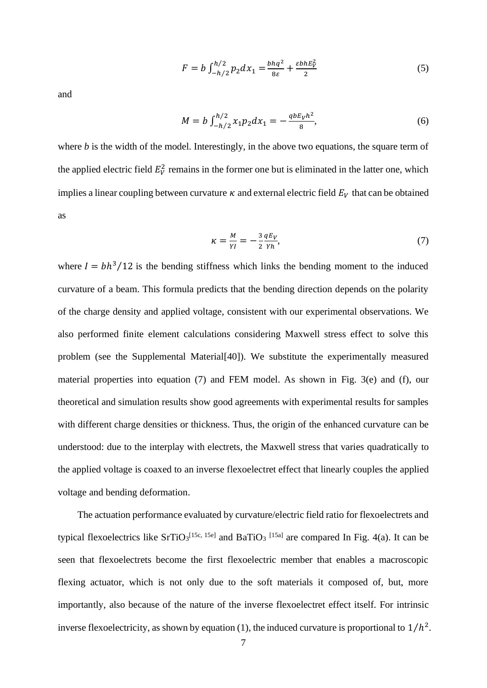$$
F = b \int_{-h/2}^{h/2} p_2 dx_1 = \frac{bhq^2}{8\varepsilon} + \frac{\varepsilon bhE_V^2}{2}
$$
 (5)

and

$$
M = b \int_{-h/2}^{h/2} x_1 p_2 dx_1 = -\frac{q b E_V h^2}{8},\tag{6}
$$

where *b* is the width of the model. Interestingly, in the above two equations, the square term of the applied electric field  $E_V^2$  remains in the former one but is eliminated in the latter one, which implies a linear coupling between curvature  $\kappa$  and external electric field  $E_V$  that can be obtained as

$$
\kappa = \frac{M}{YI} = -\frac{3}{2} \frac{qE_V}{Yh},\tag{7}
$$

where  $I = bh^3/12$  is the bending stiffness which links the bending moment to the induced curvature of a beam. This formula predicts that the bending direction depends on the polarity of the charge density and applied voltage, consistent with our experimental observations. We also performed finite element calculations considering Maxwell stress effect to solve this problem (see the Supplemental Material[40]). We substitute the experimentally measured material properties into equation (7) and FEM model. As shown in Fig. 3(e) and (f), our theoretical and simulation results show good agreements with experimental results for samples with different charge densities or thickness. Thus, the origin of the enhanced curvature can be understood: due to the interplay with electrets, the Maxwell stress that varies quadratically to the applied voltage is coaxed to an inverse flexoelectret effect that linearly couples the applied voltage and bending deformation.

The actuation performance evaluated by curvature/electric field ratio for flexoelectrets and typical flexoelectrics like  $SrTiO<sub>3</sub><sup>[15c, 15e]</sup>$  and  $BaTiO<sub>3</sub><sup>[15a]</sup>$  are compared In Fig. 4(a). It can be seen that flexoelectrets become the first flexoelectric member that enables a macroscopic flexing actuator, which is not only due to the soft materials it composed of, but, more importantly, also because of the nature of the inverse flexoelectret effect itself. For intrinsic inverse flexoelectricity, as shown by equation (1), the induced curvature is proportional to  $1/h^2$ .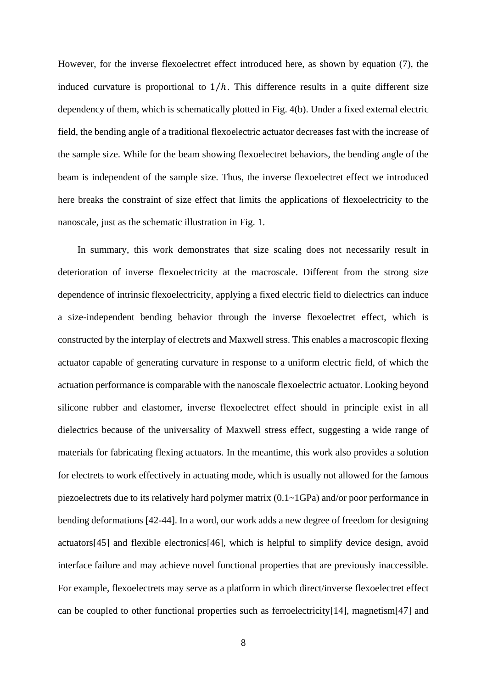However, for the inverse flexoelectret effect introduced here, as shown by equation (7), the induced curvature is proportional to  $1/h$ . This difference results in a quite different size dependency of them, which is schematically plotted in Fig. 4(b). Under a fixed external electric field, the bending angle of a traditional flexoelectric actuator decreases fast with the increase of the sample size. While for the beam showing flexoelectret behaviors, the bending angle of the beam is independent of the sample size. Thus, the inverse flexoelectret effect we introduced here breaks the constraint of size effect that limits the applications of flexoelectricity to the nanoscale, just as the schematic illustration in Fig. 1.

In summary, this work demonstrates that size scaling does not necessarily result in deterioration of inverse flexoelectricity at the macroscale. Different from the strong size dependence of intrinsic flexoelectricity, applying a fixed electric field to dielectrics can induce a size-independent bending behavior through the inverse flexoelectret effect, which is constructed by the interplay of electrets and Maxwell stress. This enables a macroscopic flexing actuator capable of generating curvature in response to a uniform electric field, of which the actuation performance is comparable with the nanoscale flexoelectric actuator. Looking beyond silicone rubber and elastomer, inverse flexoelectret effect should in principle exist in all dielectrics because of the universality of Maxwell stress effect, suggesting a wide range of materials for fabricating flexing actuators. In the meantime, this work also provides a solution for electrets to work effectively in actuating mode, which is usually not allowed for the famous piezoelectrets due to its relatively hard polymer matrix (0.1~1GPa) and/or poor performance in bending deformations [42-44]. In a word, our work adds a new degree of freedom for designing actuators[45] and flexible electronics[46], which is helpful to simplify device design, avoid interface failure and may achieve novel functional properties that are previously inaccessible. For example, flexoelectrets may serve as a platform in which direct/inverse flexoelectret effect can be coupled to other functional properties such as ferroelectricity[14], magnetism[47] and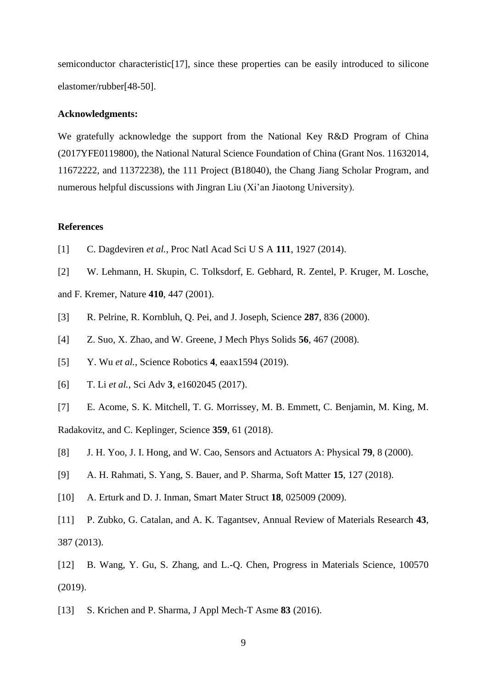semiconductor characteristic<sup>[17]</sup>, since these properties can be easily introduced to silicone elastomer/rubber[48-50].

### **Acknowledgments:**

We gratefully acknowledge the support from the National Key R&D Program of China (2017YFE0119800), the National Natural Science Foundation of China (Grant Nos. 11632014, 11672222, and 11372238), the 111 Project (B18040), the Chang Jiang Scholar Program, and numerous helpful discussions with Jingran Liu (Xi'an Jiaotong University).

## **References**

- [1] C. Dagdeviren *et al.*, Proc Natl Acad Sci U S A **111**, 1927 (2014).
- [2] W. Lehmann, H. Skupin, C. Tolksdorf, E. Gebhard, R. Zentel, P. Kruger, M. Losche,
- and F. Kremer, Nature **410**, 447 (2001).
- [3] R. Pelrine, R. Kornbluh, Q. Pei, and J. Joseph, Science **287**, 836 (2000).
- [4] Z. Suo, X. Zhao, and W. Greene, J Mech Phys Solids **56**, 467 (2008).
- [5] Y. Wu *et al.*, Science Robotics **4**, eaax1594 (2019).
- [6] T. Li *et al.*, Sci Adv **3**, e1602045 (2017).
- [7] E. Acome, S. K. Mitchell, T. G. Morrissey, M. B. Emmett, C. Benjamin, M. King, M.

Radakovitz, and C. Keplinger, Science **359**, 61 (2018).

- [8] J. H. Yoo, J. I. Hong, and W. Cao, Sensors and Actuators A: Physical **79**, 8 (2000).
- [9] A. H. Rahmati, S. Yang, S. Bauer, and P. Sharma, Soft Matter **15**, 127 (2018).
- [10] A. Erturk and D. J. Inman, Smart Mater Struct **18**, 025009 (2009).
- [11] P. Zubko, G. Catalan, and A. K. Tagantsev, Annual Review of Materials Research **43**, 387 (2013).
- [12] B. Wang, Y. Gu, S. Zhang, and L.-Q. Chen, Progress in Materials Science, 100570 (2019).
- [13] S. Krichen and P. Sharma, J Appl Mech-T Asme **83** (2016).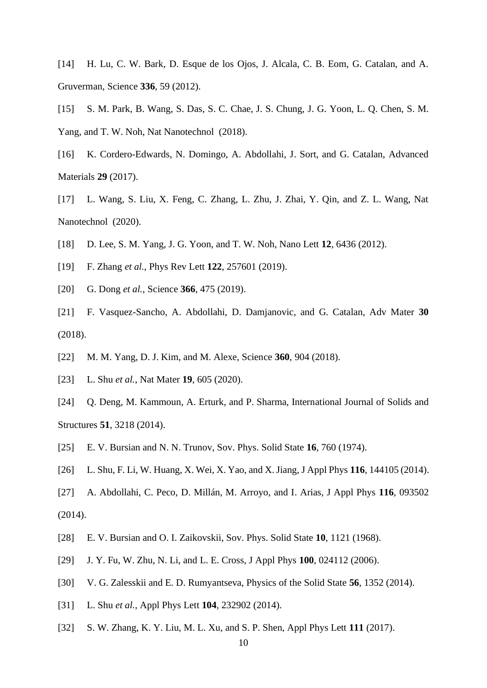- [14] H. Lu, C. W. Bark, D. Esque de los Ojos, J. Alcala, C. B. Eom, G. Catalan, and A. Gruverman, Science **336**, 59 (2012).
- [15] S. M. Park, B. Wang, S. Das, S. C. Chae, J. S. Chung, J. G. Yoon, L. Q. Chen, S. M. Yang, and T. W. Noh, Nat Nanotechnol (2018).
- [16] K. Cordero-Edwards, N. Domingo, A. Abdollahi, J. Sort, and G. Catalan, Advanced Materials **29** (2017).
- [17] L. Wang, S. Liu, X. Feng, C. Zhang, L. Zhu, J. Zhai, Y. Qin, and Z. L. Wang, Nat Nanotechnol (2020).
- [18] D. Lee, S. M. Yang, J. G. Yoon, and T. W. Noh, Nano Lett **12**, 6436 (2012).
- [19] F. Zhang *et al.*, Phys Rev Lett **122**, 257601 (2019).
- [20] G. Dong *et al.*, Science **366**, 475 (2019).
- [21] F. Vasquez-Sancho, A. Abdollahi, D. Damjanovic, and G. Catalan, Adv Mater **30** (2018).
- [22] M. M. Yang, D. J. Kim, and M. Alexe, Science **360**, 904 (2018).
- [23] L. Shu *et al.*, Nat Mater **19**, 605 (2020).
- [24] Q. Deng, M. Kammoun, A. Erturk, and P. Sharma, International Journal of Solids and Structures **51**, 3218 (2014).
- [25] E. V. Bursian and N. N. Trunov, Sov. Phys. Solid State **16**, 760 (1974).
- [26] L. Shu, F. Li, W. Huang, X. Wei, X. Yao, and X. Jiang, J Appl Phys **116**, 144105 (2014).
- [27] A. Abdollahi, C. Peco, D. Millán, M. Arroyo, and I. Arias, J Appl Phys **116**, 093502 (2014).
- [28] E. V. Bursian and O. I. Zaikovskii, Sov. Phys. Solid State **10**, 1121 (1968).
- [29] J. Y. Fu, W. Zhu, N. Li, and L. E. Cross, J Appl Phys **100**, 024112 (2006).
- [30] V. G. Zalesskii and E. D. Rumyantseva, Physics of the Solid State **56**, 1352 (2014).
- [31] L. Shu *et al.*, Appl Phys Lett **104**, 232902 (2014).
- [32] S. W. Zhang, K. Y. Liu, M. L. Xu, and S. P. Shen, Appl Phys Lett **111** (2017).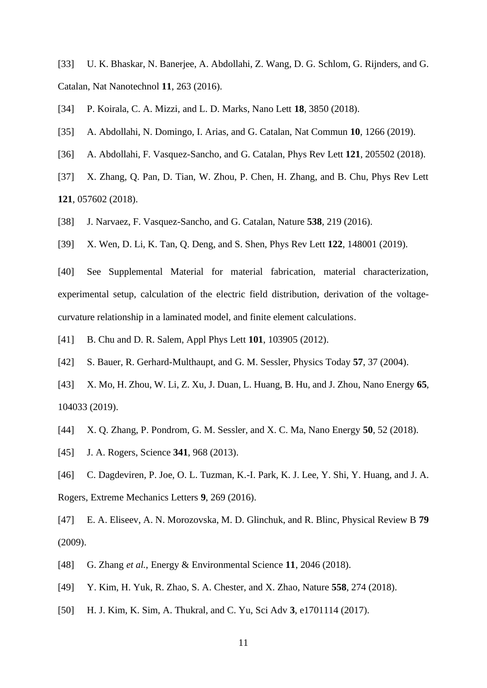[33] U. K. Bhaskar, N. Banerjee, A. Abdollahi, Z. Wang, D. G. Schlom, G. Rijnders, and G. Catalan, Nat Nanotechnol **11**, 263 (2016).

[34] P. Koirala, C. A. Mizzi, and L. D. Marks, Nano Lett **18**, 3850 (2018).

- [35] A. Abdollahi, N. Domingo, I. Arias, and G. Catalan, Nat Commun **10**, 1266 (2019).
- [36] A. Abdollahi, F. Vasquez-Sancho, and G. Catalan, Phys Rev Lett **121**, 205502 (2018).
- [37] X. Zhang, Q. Pan, D. Tian, W. Zhou, P. Chen, H. Zhang, and B. Chu, Phys Rev Lett **121**, 057602 (2018).
- [38] J. Narvaez, F. Vasquez-Sancho, and G. Catalan, Nature **538**, 219 (2016).

[39] X. Wen, D. Li, K. Tan, Q. Deng, and S. Shen, Phys Rev Lett **122**, 148001 (2019).

[40] See Supplemental Material for material fabrication, material characterization, experimental setup, calculation of the electric field distribution, derivation of the voltagecurvature relationship in a laminated model, and finite element calculations.

- [41] B. Chu and D. R. Salem, Appl Phys Lett **101**, 103905 (2012).
- [42] S. Bauer, R. Gerhard-Multhaupt, and G. M. Sessler, Physics Today **57**, 37 (2004).
- [43] X. Mo, H. Zhou, W. Li, Z. Xu, J. Duan, L. Huang, B. Hu, and J. Zhou, Nano Energy **65**, 104033 (2019).
- [44] X. Q. Zhang, P. Pondrom, G. M. Sessler, and X. C. Ma, Nano Energy **50**, 52 (2018).
- [45] J. A. Rogers, Science **341**, 968 (2013).
- [46] C. Dagdeviren, P. Joe, O. L. Tuzman, K.-I. Park, K. J. Lee, Y. Shi, Y. Huang, and J. A. Rogers, Extreme Mechanics Letters **9**, 269 (2016).
- [47] E. A. Eliseev, A. N. Morozovska, M. D. Glinchuk, and R. Blinc, Physical Review B **79** (2009).
- [48] G. Zhang *et al.*, Energy & Environmental Science **11**, 2046 (2018).
- [49] Y. Kim, H. Yuk, R. Zhao, S. A. Chester, and X. Zhao, Nature **558**, 274 (2018).
- [50] H. J. Kim, K. Sim, A. Thukral, and C. Yu, Sci Adv **3**, e1701114 (2017).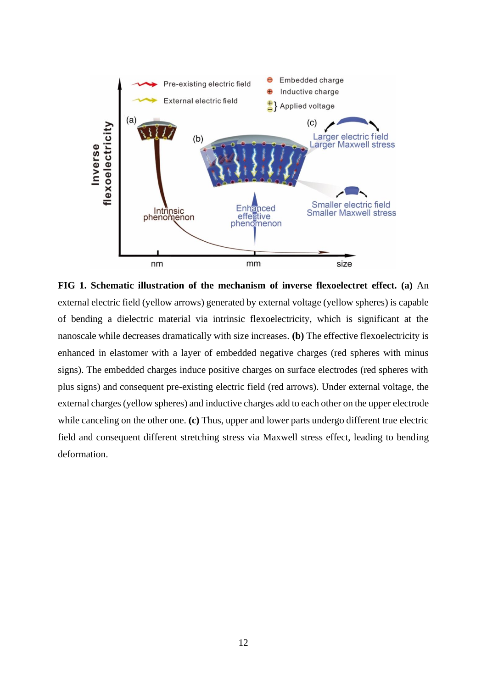

**FIG 1. Schematic illustration of the mechanism of inverse flexoelectret effect. (a)** An external electric field (yellow arrows) generated by external voltage (yellow spheres) is capable of bending a dielectric material via intrinsic flexoelectricity, which is significant at the nanoscale while decreases dramatically with size increases. **(b)** The effective flexoelectricity is enhanced in elastomer with a layer of embedded negative charges (red spheres with minus signs). The embedded charges induce positive charges on surface electrodes (red spheres with plus signs) and consequent pre-existing electric field (red arrows). Under external voltage, the external charges (yellow spheres) and inductive charges add to each other on the upper electrode while canceling on the other one. **(c)** Thus, upper and lower parts undergo different true electric field and consequent different stretching stress via Maxwell stress effect, leading to bending deformation.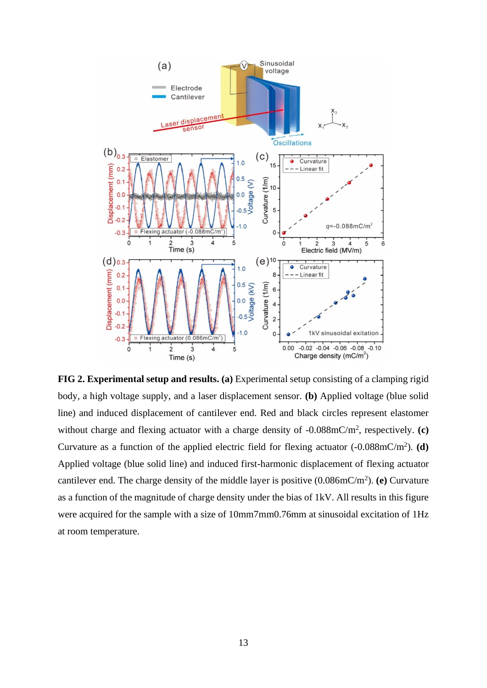

**FIG 2. Experimental setup and results. (a)** Experimental setup consisting of a clamping rigid body, a high voltage supply, and a laser displacement sensor. **(b)** Applied voltage (blue solid line) and induced displacement of cantilever end. Red and black circles represent elastomer without charge and flexing actuator with a charge density of -0.088mC/m<sup>2</sup>, respectively. (c) Curvature as a function of the applied electric field for flexing actuator  $(-0.088 \text{mC/m}^2)$ . (d) Applied voltage (blue solid line) and induced first-harmonic displacement of flexing actuator cantilever end. The charge density of the middle layer is positive  $(0.086 \text{mC/m}^2)$ . (e) Curvature as a function of the magnitude of charge density under the bias of 1kV. All results in this figure were acquired for the sample with a size of 10mm7mm0.76mm at sinusoidal excitation of 1Hz at room temperature.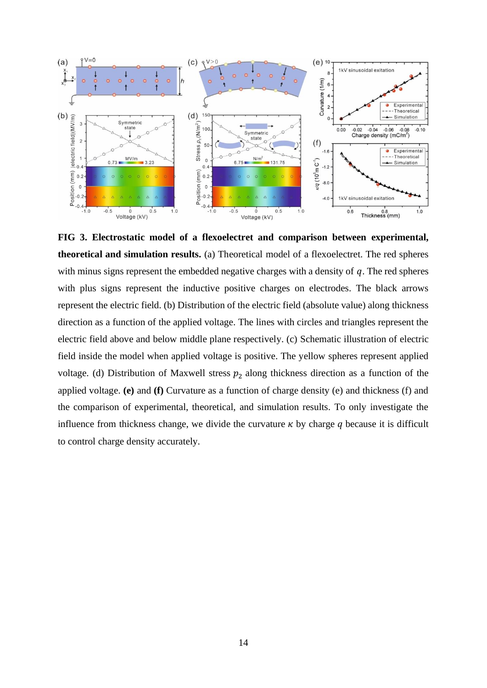

**FIG 3. Electrostatic model of a flexoelectret and comparison between experimental, theoretical and simulation results.** (a) Theoretical model of a flexoelectret. The red spheres with minus signs represent the embedded negative charges with a density of  $q$ . The red spheres with plus signs represent the inductive positive charges on electrodes. The black arrows represent the electric field. (b) Distribution of the electric field (absolute value) along thickness direction as a function of the applied voltage. The lines with circles and triangles represent the electric field above and below middle plane respectively. (c) Schematic illustration of electric field inside the model when applied voltage is positive. The yellow spheres represent applied voltage. (d) Distribution of Maxwell stress  $p_2$  along thickness direction as a function of the applied voltage. **(e)** and **(f)** Curvature as a function of charge density (e) and thickness (f) and the comparison of experimental, theoretical, and simulation results. To only investigate the influence from thickness change, we divide the curvature  $\kappa$  by charge  $q$  because it is difficult to control charge density accurately.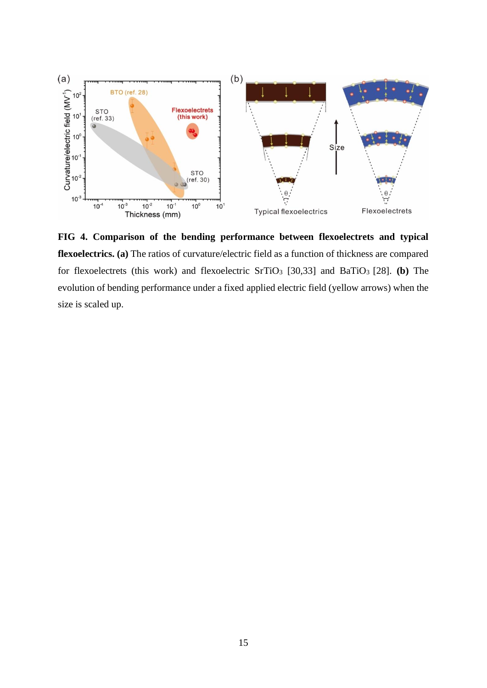

**FIG 4. Comparison of the bending performance between flexoelectrets and typical flexoelectrics. (a)** The ratios of curvature/electric field as a function of thickness are compared for flexoelectrets (this work) and flexoelectric SrTiO<sup>3</sup> [30,33] and BaTiO<sup>3</sup> [28]. **(b)** The evolution of bending performance under a fixed applied electric field (yellow arrows) when the size is scaled up.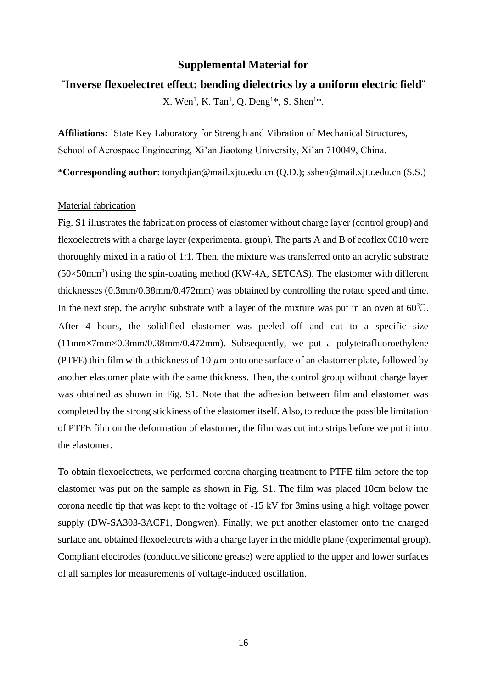## **Supplemental Material for**

## **¨Inverse flexoelectret effect: bending dielectrics by a uniform electric field¨**

X. Wen<sup>1</sup>, K. Tan<sup>1</sup>, Q. Deng<sup>1\*</sup>, S. Shen<sup>1\*</sup>.

**Affiliations:** <sup>1</sup>State Key Laboratory for Strength and Vibration of Mechanical Structures, School of Aerospace Engineering, Xi'an Jiaotong University, Xi'an 710049, China.

\***Corresponding author**: tonydqian@mail.xjtu.edu.cn (Q.D.); sshen@mail.xjtu.edu.cn (S.S.)

## Material fabrication

Fig. S1 illustrates the fabrication process of elastomer without charge layer (control group) and flexoelectrets with a charge layer (experimental group). The parts A and B of ecoflex 0010 were thoroughly mixed in a ratio of 1:1. Then, the mixture was transferred onto an acrylic substrate  $(50\times50$ mm<sup>2</sup>) using the spin-coating method (KW-4A, SETCAS). The elastomer with different thicknesses (0.3mm/0.38mm/0.472mm) was obtained by controlling the rotate speed and time. In the next step, the acrylic substrate with a layer of the mixture was put in an oven at  $60^{\circ}$ C. After 4 hours, the solidified elastomer was peeled off and cut to a specific size (11mm×7mm×0.3mm/0.38mm/0.472mm). Subsequently, we put a polytetrafluoroethylene (PTFE) thin film with a thickness of 10  $\mu$ m onto one surface of an elastomer plate, followed by another elastomer plate with the same thickness. Then, the control group without charge layer was obtained as shown in Fig. S1. Note that the adhesion between film and elastomer was completed by the strong stickiness of the elastomer itself. Also, to reduce the possible limitation of PTFE film on the deformation of elastomer, the film was cut into strips before we put it into the elastomer.

To obtain flexoelectrets, we performed corona charging treatment to PTFE film before the top elastomer was put on the sample as shown in Fig. S1. The film was placed 10cm below the corona needle tip that was kept to the voltage of -15 kV for 3mins using a high voltage power supply (DW-SA303-3ACF1, Dongwen). Finally, we put another elastomer onto the charged surface and obtained flexoelectrets with a charge layer in the middle plane (experimental group). Compliant electrodes (conductive silicone grease) were applied to the upper and lower surfaces of all samples for measurements of voltage-induced oscillation.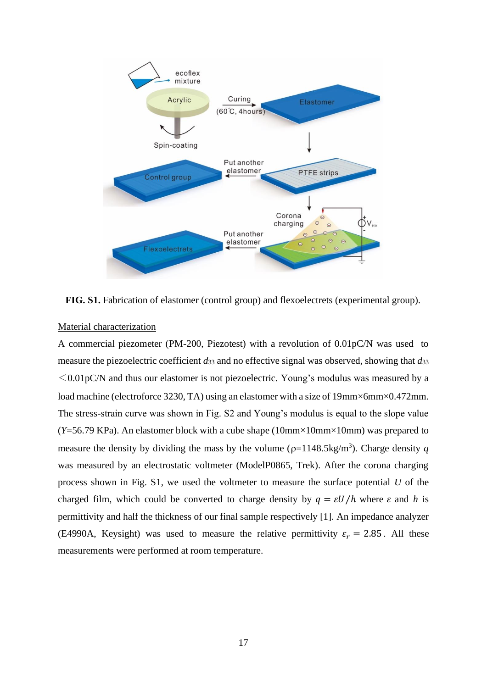

**FIG. S1.** Fabrication of elastomer (control group) and flexoelectrets (experimental group).

## Material characterization

A commercial piezometer (PM-200, Piezotest) with a revolution of 0.01pC/N was used to measure the piezoelectric coefficient *d*<sup>33</sup> and no effective signal was observed, showing that *d*<sup>33</sup>  $\leq 0.01$  pC/N and thus our elastomer is not piezoelectric. Young's modulus was measured by a load machine (electroforce 3230, TA) using an elastomer with a size of 19mm×6mm×0.472mm. The stress-strain curve was shown in Fig. S2 and Young's modulus is equal to the slope value  $(Y=56.79 \text{ KPa})$ . An elastomer block with a cube shape  $(10 \text{mm} \times 10 \text{mm} \times 10 \text{mm})$  was prepared to measure the density by dividing the mass by the volume ( $\rho$ =1148.5kg/m<sup>3</sup>). Charge density q was measured by an electrostatic voltmeter (ModelP0865, Trek). After the corona charging process shown in Fig. S1, we used the voltmeter to measure the surface potential *U* of the charged film, which could be converted to charge density by  $q = \varepsilon U/h$  where  $\varepsilon$  and h is permittivity and half the thickness of our final sample respectively [1]. An impedance analyzer (E4990A, Keysight) was used to measure the relative permittivity  $\varepsilon_r = 2.85$ . All these measurements were performed at room temperature.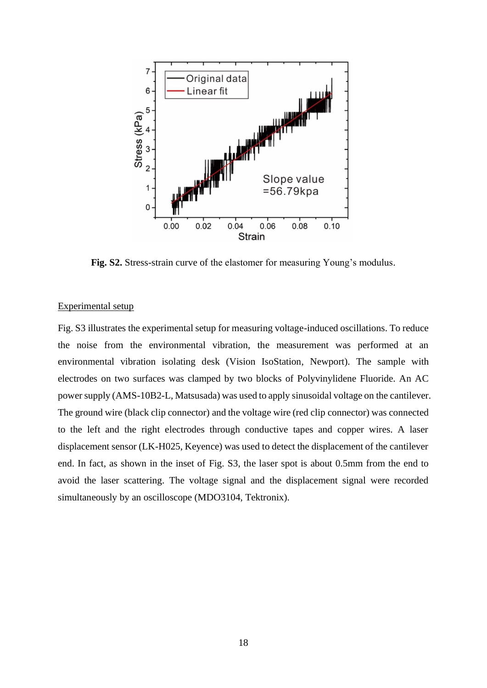

**Fig. S2.** Stress-strain curve of the elastomer for measuring Young's modulus.

## Experimental setup

Fig. S3 illustrates the experimental setup for measuring voltage-induced oscillations. To reduce the noise from the environmental vibration, the measurement was performed at an environmental vibration isolating desk (Vision IsoStation, Newport). The sample with electrodes on two surfaces was clamped by two blocks of Polyvinylidene Fluoride. An AC power supply (AMS-10B2-L, Matsusada) was used to apply sinusoidal voltage on the cantilever. The ground wire (black clip connector) and the voltage wire (red clip connector) was connected to the left and the right electrodes through conductive tapes and copper wires. A laser displacement sensor (LK-H025, Keyence) was used to detect the displacement of the cantilever end. In fact, as shown in the inset of Fig. S3, the laser spot is about 0.5mm from the end to avoid the laser scattering. The voltage signal and the displacement signal were recorded simultaneously by an oscilloscope (MDO3104, Tektronix).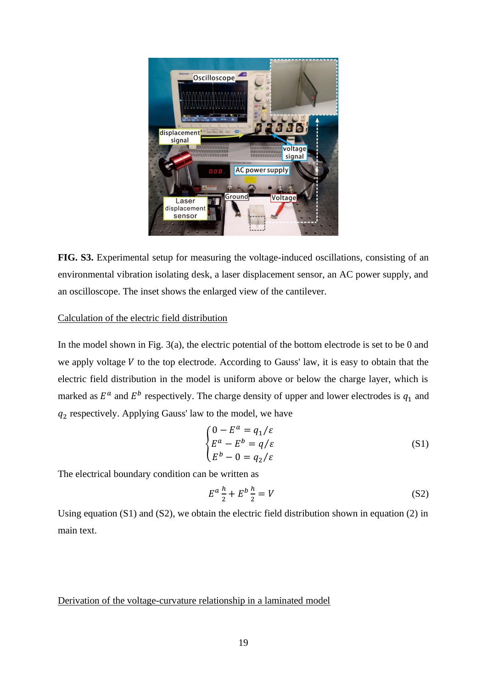

**FIG. S3.** Experimental setup for measuring the voltage-induced oscillations, consisting of an environmental vibration isolating desk, a laser displacement sensor, an AC power supply, and an oscilloscope. The inset shows the enlarged view of the cantilever.

# Calculation of the electric field distribution

In the model shown in Fig. 3(a), the electric potential of the bottom electrode is set to be 0 and we apply voltage  $V$  to the top electrode. According to Gauss' law, it is easy to obtain that the electric field distribution in the model is uniform above or below the charge layer, which is marked as  $E^a$  and  $E^b$  respectively. The charge density of upper and lower electrodes is  $q_1$  and  $q_2$  respectively. Applying Gauss' law to the model, we have

$$
\begin{cases}\n0 - E^a = q_1/\varepsilon \\
E^a - E^b = q/\varepsilon \\
E^b - 0 = q_2/\varepsilon\n\end{cases}
$$
\n(S1)

The electrical boundary condition can be written as

$$
E^a \frac{h}{2} + E^b \frac{h}{2} = V \tag{S2}
$$

Using equation (S1) and (S2), we obtain the electric field distribution shown in equation (2) in main text.

#### Derivation of the voltage-curvature relationship in a laminated model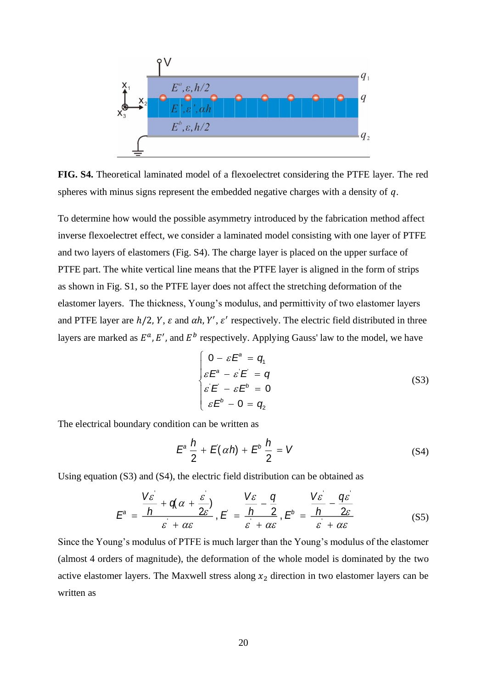

**FIG. S4.** Theoretical laminated model of a flexoelectret considering the PTFE layer. The red spheres with minus signs represent the embedded negative charges with a density of  $q$ .

To determine how would the possible asymmetry introduced by the fabrication method affect inverse flexoelectret effect, we consider a laminated model consisting with one layer of PTFE and two layers of elastomers (Fig. S4). The charge layer is placed on the upper surface of PTFE part. The white vertical line means that the PTFE layer is aligned in the form of strips as shown in Fig. S1, so the PTFE layer does not affect the stretching deformation of the elastomer layers. The thickness, Young's modulus, and permittivity of two elastomer layers and PTFE layer are  $h/2$ , Y,  $\varepsilon$  and  $\alpha h$ , Y',  $\varepsilon'$  respectively. The electric field distributed in three layers are marked as  $E^a$ , E', and  $E^b$  respectively. Applying Gauss' law to the model, we have

$$
\begin{cases}\n0 - \varepsilon E^a = q_1 \\
\varepsilon E^a - \varepsilon E^b = q \\
\varepsilon E^b - 0 = q_2\n\end{cases}
$$
\n(S3)

The electrical boundary condition can be written as

$$
E^a \frac{h}{2} + E(\alpha h) + E^b \frac{h}{2} = V \tag{S4}
$$

Using equation (S3) and (S4), the electric field distribution can be obtained as

$$
E^{a} = \frac{\frac{V\mathcal{E}}{h} + q(\alpha + \frac{\mathcal{E}}{2\mathcal{E}})}{\mathcal{E} + \alpha \mathcal{E}}, E = \frac{\frac{V\mathcal{E}}{h} - \frac{q}{2}}{\mathcal{E} + \alpha \mathcal{E}}, E^{b} = \frac{\frac{V\mathcal{E}}{h} - \frac{q\mathcal{E}}{2\mathcal{E}}}{\mathcal{E} + \alpha \mathcal{E}}
$$
(S5)

Since the Young's modulus of PTFE is much larger than the Young's modulus of the elastomer (almost 4 orders of magnitude), the deformation of the whole model is dominated by the two active elastomer layers. The Maxwell stress along  $x_2$  direction in two elastomer layers can be written as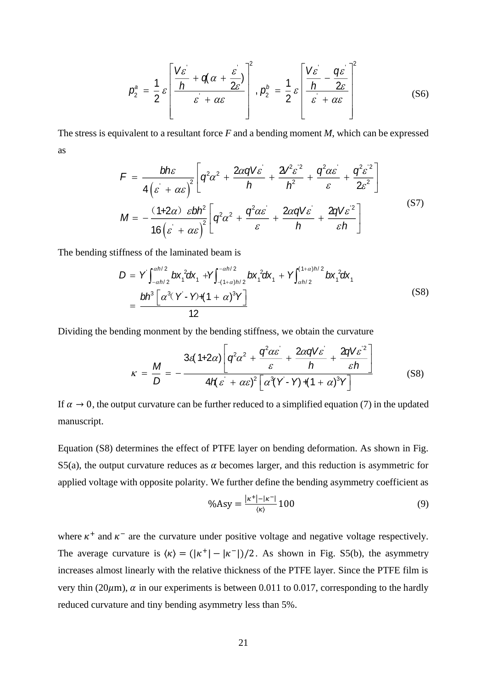$$
p_2^a = \frac{1}{2} \varepsilon \left[ \frac{V \varepsilon}{h} + q \alpha + \frac{\varepsilon}{2\varepsilon} \right]^2, \ p_2^b = \frac{1}{2} \varepsilon \left[ \frac{V \varepsilon}{h} - \frac{q \varepsilon}{2\varepsilon} \right]^2 \tag{S6}
$$

The stress is equivalent to a resultant force *F* and a bending moment *M*, which can be expressed as

$$
F = \frac{bh\varepsilon}{4(\varepsilon + \alpha\varepsilon)^2} \left[ q^2 \alpha^2 + \frac{2\alpha qV\varepsilon}{h} + \frac{2V^2 \varepsilon^2}{h^2} + \frac{q^2 \alpha \varepsilon}{\varepsilon} + \frac{q^2 \varepsilon^2}{2\varepsilon^2} \right]
$$
  

$$
M = -\frac{(1+2\alpha)\varepsilon bh^2}{16(\varepsilon + \alpha\varepsilon)^2} \left[ q^2 \alpha^2 + \frac{q^2 \alpha \varepsilon}{\varepsilon} + \frac{2\alpha qV\varepsilon}{h} + \frac{2qV\varepsilon^2}{\varepsilon h} \right]
$$
(S7)

The bending stiffness of the laminated beam is

$$
D = Y \int_{-a h/2}^{a h/2} b x_1^2 dx_1 + Y \int_{-(1+a)h/2}^{-a h/2} b x_1^2 dx_1 + Y \int_{a h/2}^{(1+a)h/2} b x_1^2 dx_1
$$
  
= 
$$
\frac{b h^3 \left[ \alpha^3 (Y - Y) + (1 + \alpha)^3 Y \right]}{12}
$$
 (S8)

Dividing the bending monment by the bending stiffness, we obtain the curvature

$$
\kappa = \frac{M}{D} = -\frac{3\epsilon(1+2\alpha)\left[q^2\alpha^2 + \frac{q^2\alpha\epsilon}{\epsilon} + \frac{2\alpha qV\epsilon}{h} + \frac{2qV\epsilon^2}{\epsilon h}\right]}{4H(\epsilon + \alpha\epsilon)^2\left[\alpha^3(Y - Y) + (1+\alpha)^3Y\right]}
$$
(S8)

If  $\alpha \to 0$ , the output curvature can be further reduced to a simplified equation (7) in the updated manuscript.

Equation (S8) determines the effect of PTFE layer on bending deformation. As shown in Fig. S5(a), the output curvature reduces as  $\alpha$  becomes larger, and this reduction is asymmetric for applied voltage with opposite polarity. We further define the bending asymmetry coefficient as

$$
\% \text{Asy} = \frac{|\kappa^+| - |\kappa^-|}{\langle \kappa \rangle} 100 \tag{9}
$$

where  $\kappa^+$  and  $\kappa^-$  are the curvature under positive voltage and negative voltage respectively. The average curvature is  $\langle \kappa \rangle = (|\kappa^+| - |\kappa^-|)/2$ . As shown in Fig. S5(b), the asymmetry increases almost linearly with the relative thickness of the PTFE layer. Since the PTFE film is very thin (20 $\mu$ m),  $\alpha$  in our experiments is between 0.011 to 0.017, corresponding to the hardly reduced curvature and tiny bending asymmetry less than 5%.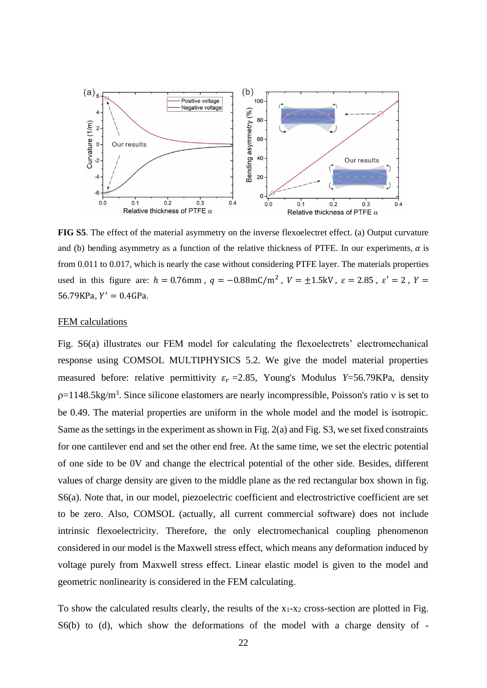

**FIG S5**. The effect of the material asymmetry on the inverse flexoelectret effect. (a) Output curvature and (b) bending asymmetry as a function of the relative thickness of PTFE. In our experiments,  $\alpha$  is from 0.011 to 0.017, which is nearly the case without considering PTFE layer. The materials properties used in this figure are:  $h = 0.76$ mm,  $q = -0.88$ mC/m<sup>2</sup>,  $V = \pm 1.5$ kV,  $\varepsilon = 2.85$ ,  $\varepsilon' = 2$ ,  $Y =$  $56.79KPa, Y' = 0.4GPa.$ 

## FEM calculations

Fig. S6(a) illustrates our FEM model for calculating the flexoelectrets' electromechanical response using COMSOL MULTIPHYSICS 5.2. We give the model material properties measured before: relative permittivity  $\varepsilon_r = 2.85$ , Young's Modulus *Y*=56.79KPa, density  $p=1148.5$ kg/m<sup>3</sup>. Since silicone elastomers are nearly incompressible, Poisson's ratio v is set to be 0.49. The material properties are uniform in the whole model and the model is isotropic. Same as the settings in the experiment as shown in Fig. 2(a) and Fig. S3, we set fixed constraints for one cantilever end and set the other end free. At the same time, we set the electric potential of one side to be 0V and change the electrical potential of the other side. Besides, different values of charge density are given to the middle plane as the red rectangular box shown in fig. S6(a). Note that, in our model, piezoelectric coefficient and electrostrictive coefficient are set to be zero. Also, COMSOL (actually, all current commercial software) does not include intrinsic flexoelectricity. Therefore, the only electromechanical coupling phenomenon considered in our model is the Maxwell stress effect, which means any deformation induced by voltage purely from Maxwell stress effect. Linear elastic model is given to the model and geometric nonlinearity is considered in the FEM calculating.

To show the calculated results clearly, the results of the  $x_1-x_2$  cross-section are plotted in Fig. S6(b) to (d), which show the deformations of the model with a charge density of -